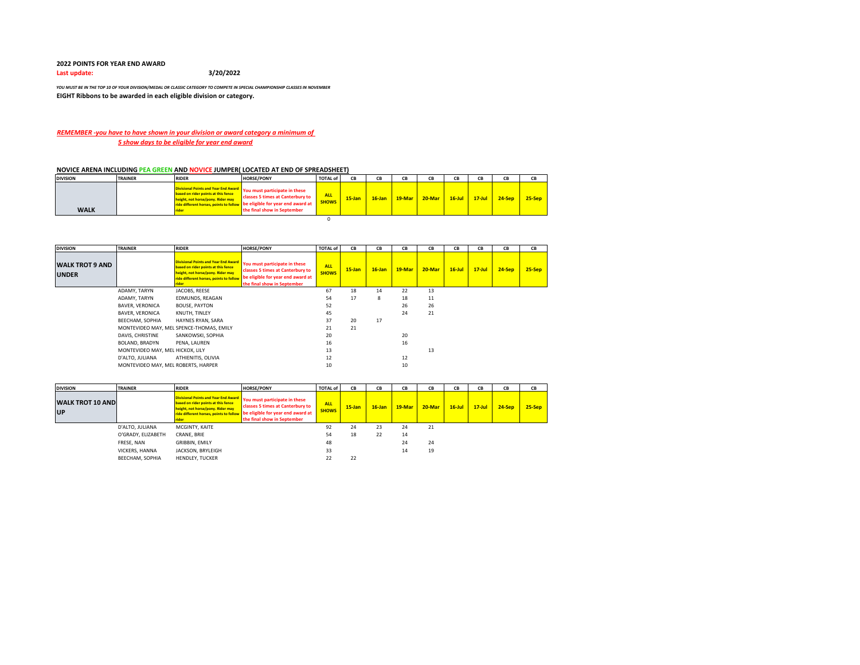## **2022 POINTS FOR YEAR END AWARD**

**Last update: 3/20/2022**

*YOU MUST BE IN THE TOP 10 OF YOUR DIVISION/MEDAL OR CLASSIC CATEGORY TO COMPETE IN SPECIAL CHAMPIONSHIP CLASSES IN NOVEMBER* **EIGHT Ribbons to be awarded in each eligible division or category.** 

## *REMEMBER -you have to have shown in your division or award category a minimum of 5 show days to be eligible for year end award*

## **NOVICE ARENA INCLUDING PEA GREEN AND NOVICE JUMPER( LOCATED AT END OF SPREADSHEET)**

| <b>DIVISION</b> | <b>TRAINER</b> | <b>RIDER</b>                                                                      | <b>HORSE/PONY</b>                                                                                                                                                                                                  | <b>TOTAL of</b>            | CB        | CB | CВ | CВ                                 | CB         | CB       | CB     |
|-----------------|----------------|-----------------------------------------------------------------------------------|--------------------------------------------------------------------------------------------------------------------------------------------------------------------------------------------------------------------|----------------------------|-----------|----|----|------------------------------------|------------|----------|--------|
| <b>WALK</b>     |                | based on rider points at this fence<br>height, not horse/pony. Rider may<br>rider | Divisional Points and Year End Award You must participate in these<br>classes 5 times at Canterbury to<br>ride different horses, points to follow be eligible for year end award at<br>the final show in September | <b>ALL</b><br><b>SHOWS</b> | $15$ -Jan |    |    | <b>16-Jan 19-Mar 20-Mar 16-Jul</b> | $17 -$ Jul | $24-Sep$ | 25-Sep |
|                 |                |                                                                                   |                                                                                                                                                                                                                    |                            |           |    |    |                                    |            |          |        |

| <b>DIVISION</b>                        | <b>TRAINER</b>                      | <b>RIDER</b>                                                                                                                                                                 | <b>HORSE/PONY</b>                                                                                                                     | <b>TOTAL of</b>            | CB        | CВ        | CВ     | CВ     | CB        | CB         | CB       | CВ       |
|----------------------------------------|-------------------------------------|------------------------------------------------------------------------------------------------------------------------------------------------------------------------------|---------------------------------------------------------------------------------------------------------------------------------------|----------------------------|-----------|-----------|--------|--------|-----------|------------|----------|----------|
| <b>WALK TROT 9 AND</b><br><b>UNDER</b> |                                     | <b>Divisional Points and Year End Award</b><br>based on rider points at this fence<br>height, not horse/pony. Rider may<br>ride different horses, points to follow<br>rider. | You must participate in these<br>classes 5 times at Canterbury to<br>be eligible for year end award at<br>the final show in September | <b>ALL</b><br><b>SHOWS</b> | $15$ -Jan | $16$ -Jan | 19-Mar | 20-Mar | $16$ -Jul | $17 -$ Jul | $24-Sep$ | $25-Sep$ |
|                                        | ADAMY, TARYN                        | JACOBS, REESE                                                                                                                                                                |                                                                                                                                       | 67                         | 18        | 14        | 22     | 13     |           |            |          |          |
|                                        | ADAMY, TARYN                        | EDMUNDS, REAGAN                                                                                                                                                              |                                                                                                                                       | 54                         | 17        | 8         | 18     | 11     |           |            |          |          |
|                                        | <b>BAVER, VERONICA</b>              | <b>BOUSE, PAYTON</b>                                                                                                                                                         |                                                                                                                                       | 52                         |           |           | 26     | 26     |           |            |          |          |
|                                        | <b>BAVER, VERONICA</b>              | KNUTH, TINLEY                                                                                                                                                                |                                                                                                                                       | 45                         |           |           | 24     | 21     |           |            |          |          |
|                                        | BEECHAM, SOPHIA                     | HAYNES RYAN, SARA                                                                                                                                                            |                                                                                                                                       | 37                         | 20        | 17        |        |        |           |            |          |          |
|                                        |                                     | MONTEVIDEO MAY, MEL SPENCE-THOMAS, EMILY                                                                                                                                     |                                                                                                                                       | 21                         | 21        |           |        |        |           |            |          |          |
|                                        | DAVIS, CHRISTINE                    | SANKOWSKI, SOPHIA                                                                                                                                                            |                                                                                                                                       | 20                         |           |           | 20     |        |           |            |          |          |
|                                        | BOLAND, BRADYN                      | PENA, LAUREN                                                                                                                                                                 |                                                                                                                                       | 16                         |           |           | 16     |        |           |            |          |          |
|                                        | MONTEVIDEO MAY, MEL HICKOX, LILY    |                                                                                                                                                                              |                                                                                                                                       | 13                         |           |           |        | 13     |           |            |          |          |
|                                        | D'ALTO, JULIANA                     | ATHIENITIS, OLIVIA                                                                                                                                                           |                                                                                                                                       | 12                         |           |           | 12     |        |           |            |          |          |
|                                        | MONTEVIDEO MAY, MEL ROBERTS, HARPER |                                                                                                                                                                              |                                                                                                                                       | 10                         |           |           | 10     |        |           |            |          |          |

| <b>DIVISION</b>                      | <b>TRAINER</b>     | <b>RIDER</b>                                                                                                                                                                | <b>HORSE/PONY</b>                                                                                                                     | <b>TOTAL of</b>            | CB        | CВ        | CВ       | CВ        | CB        | CB         | CB       | CB        |
|--------------------------------------|--------------------|-----------------------------------------------------------------------------------------------------------------------------------------------------------------------------|---------------------------------------------------------------------------------------------------------------------------------------|----------------------------|-----------|-----------|----------|-----------|-----------|------------|----------|-----------|
| <b>WALK TROT 10 AND</b><br><b>UP</b> |                    | <b>Divisional Points and Year End Award</b><br>based on rider points at this fence<br>height, not horse/pony. Rider may<br>ride different horses, points to follow<br>rider | You must participate in these<br>classes 5 times at Canterbury to<br>be eligible for year end award at<br>the final show in September | <b>ALL</b><br><b>SHOWS</b> | $15$ -Jan | $16$ -Jan | $19-Mar$ | $20$ -Mar | $16$ -Jul | $17 -$ Jul | $24-Sep$ | $25-$ Sep |
|                                      | D'ALTO, JULIANA    | MCGINTY, KAITE                                                                                                                                                              |                                                                                                                                       | 92                         | 24        | 23        | 24       | 21        |           |            |          |           |
|                                      | O'GRADY, ELIZABETH | CRANE, BRIE                                                                                                                                                                 |                                                                                                                                       | 54                         | 18        | 22        | 14       |           |           |            |          |           |
|                                      | FRESE, NAN         | GRIBBIN, EMILY                                                                                                                                                              |                                                                                                                                       | 48                         |           |           | 24       | 24        |           |            |          |           |
|                                      | VICKERS, HANNA     | JACKSON, BRYLEIGH                                                                                                                                                           |                                                                                                                                       | 33                         |           |           | 14       | 19        |           |            |          |           |
|                                      | BEECHAM, SOPHIA    | <b>HENDLEY, TUCKER</b>                                                                                                                                                      |                                                                                                                                       | 22                         | 22        |           |          |           |           |            |          |           |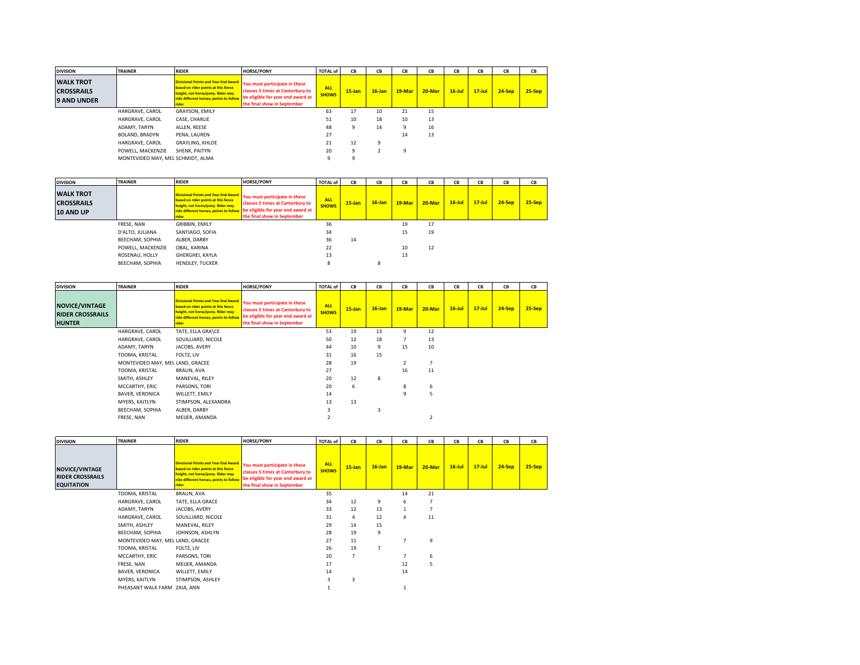| <b>DIVISION</b>                                             | <b>TRAINER</b>                    | <b>RIDER</b>                                                             | <b>HORSE/PONY</b>                                                                                                                                                                                                  | <b>TOTAL of</b>            | CB        | CB        | CB       | CВ        | CB        | CВ         | CB       | CВ       |
|-------------------------------------------------------------|-----------------------------------|--------------------------------------------------------------------------|--------------------------------------------------------------------------------------------------------------------------------------------------------------------------------------------------------------------|----------------------------|-----------|-----------|----------|-----------|-----------|------------|----------|----------|
| <b>WALK TROT</b><br><b>CROSSRAILS</b><br><b>9 AND UNDER</b> |                                   | based on rider points at this fence<br>height, not horse/pony. Rider may | Divisional Points and Year End Award You must participate in these<br>classes 5 times at Canterbury to<br>ride different horses, points to follow be eligible for year end award at<br>the final show in September | <b>ALL</b><br><b>SHOWS</b> | $15$ -Jan | $16$ -Jan | 19-Mar   | $20$ -Mar | $16$ -Jul | $17 -$ Jul | $24-Sep$ | $25-Sep$ |
|                                                             | HARGRAVE, CAROL                   | <b>GRAYSON, EMILY</b>                                                    |                                                                                                                                                                                                                    | 63                         | 17        | 10        | 21       | 15        |           |            |          |          |
|                                                             | HARGRAVE, CAROL                   | CASE, CHARLIE                                                            |                                                                                                                                                                                                                    | 51                         | 10        | 18        | 10       | 13        |           |            |          |          |
|                                                             | ADAMY, TARYN                      | ALLEN, REESE                                                             |                                                                                                                                                                                                                    | 48                         |           | 14        | $\Omega$ | 16        |           |            |          |          |
|                                                             | BOLAND, BRADYN                    | PENA, LAUREN                                                             |                                                                                                                                                                                                                    | 27                         |           |           | 14       | 13        |           |            |          |          |
|                                                             | HARGRAVE, CAROL                   | <b>GRAYLING, KHLOE</b>                                                   |                                                                                                                                                                                                                    | 21                         | 12        | $\Omega$  |          |           |           |            |          |          |
|                                                             | POWELL, MACKENZIE                 | SHENK, PAITYN                                                            |                                                                                                                                                                                                                    | 20                         | a         |           | 9        |           |           |            |          |          |
|                                                             | MONTEVIDEO MAY, MEL SCHMIDT, ALMA |                                                                          |                                                                                                                                                                                                                    |                            |           |           |          |           |           |            |          |          |

| <b>DIVISION</b>                                    | <b>TRAINER</b>    | <b>RIDER</b>                                                                                                                                                                       | <b>HORSE/PONY</b>                                                                                                                     | <b>TOTAL of</b>            | CВ        | CB        | CВ       | CВ        | CВ        | CB         | CB       | CB       |
|----------------------------------------------------|-------------------|------------------------------------------------------------------------------------------------------------------------------------------------------------------------------------|---------------------------------------------------------------------------------------------------------------------------------------|----------------------------|-----------|-----------|----------|-----------|-----------|------------|----------|----------|
| <b>WALK TROT</b><br><b>CROSSRAILS</b><br>10 AND UP |                   | <b>Divisional Points and Year End Award</b><br>based on rider points at this fence<br>height, not horse/pony. Rider may<br>ride different horses, points to follow<br><b>rider</b> | You must participate in these<br>classes 5 times at Canterbury to<br>be eligible for year end award at<br>the final show in September | <b>ALL</b><br><b>SHOWS</b> | $15$ -Jan | $16$ -Jan | $19-Mar$ | $20$ -Mar | $16$ -Jul | $17 -$ Jul | $24-Sep$ | $25-Sep$ |
|                                                    | FRESE, NAN        | GRIBBIN, EMILY                                                                                                                                                                     |                                                                                                                                       | 36                         |           |           | 19       | 17        |           |            |          |          |
|                                                    | D'ALTO, JULIANA   | SANTIAGO, SOFIA                                                                                                                                                                    |                                                                                                                                       | 34                         |           |           | 15       | 19        |           |            |          |          |
|                                                    | BEECHAM, SOPHIA   | ALBER, DARBY                                                                                                                                                                       |                                                                                                                                       | 36                         | 14        |           |          |           |           |            |          |          |
|                                                    | POWELL, MACKENZIE | OBAL, KARINA                                                                                                                                                                       |                                                                                                                                       | 22                         |           |           | 10       | 12        |           |            |          |          |
|                                                    | ROSENAU, HOLLY    | GHERGHEI, KAYLA                                                                                                                                                                    |                                                                                                                                       | 13                         |           |           | 13       |           |           |            |          |          |
|                                                    | BEECHAM, SOPHIA   | <b>HENDLEY, TUCKER</b>                                                                                                                                                             |                                                                                                                                       | 8                          |           |           |          |           |           |            |          |          |

| <b>DIVISION</b>                                                   | <b>TRAINER</b>                   | <b>RIDER</b>                                                                                                                                                                | <b>HORSE/PONY</b>                                                                                                                     | <b>TOTAL of</b>            | CB        | CB        | CB     | CB     | CB        | CB         | CB       | CВ       |
|-------------------------------------------------------------------|----------------------------------|-----------------------------------------------------------------------------------------------------------------------------------------------------------------------------|---------------------------------------------------------------------------------------------------------------------------------------|----------------------------|-----------|-----------|--------|--------|-----------|------------|----------|----------|
| <b>NOVICE/VINTAGE</b><br><b>RIDER CROSSRAILS</b><br><b>HUNTER</b> |                                  | <b>Divisional Points and Year End Award</b><br>based on rider points at this fence<br>height, not horse/pony. Rider may<br>ride different horses, points to follow<br>rider | You must participate in these<br>classes 5 times at Canterbury to<br>be eligible for year end award at<br>the final show in September | <b>ALL</b><br><b>SHOWS</b> | $15$ -Jan | $16$ -Jan | 19-Mar | 20-Mar | $16$ -Jul | $17 -$ Jul | $24-Sep$ | $25-Sep$ |
|                                                                   | HARGRAVE, CAROL                  | TATE, ELLA GRA\CE                                                                                                                                                           |                                                                                                                                       | 53                         | 19        | 13        | 9      | 12     |           |            |          |          |
|                                                                   | HARGRAVE, CAROL                  | SOUILLIARD, NICOLE                                                                                                                                                          |                                                                                                                                       | 50                         | 12        | 18        | 7      | 13     |           |            |          |          |
|                                                                   | ADAMY, TARYN                     | JACOBS, AVERY                                                                                                                                                               |                                                                                                                                       | 44                         | 10        | 9         | 15     | 10     |           |            |          |          |
|                                                                   | TOOMA, KRISTAL                   | FOLTZ, LIV                                                                                                                                                                  |                                                                                                                                       | 31                         | 16        | 15        |        |        |           |            |          |          |
|                                                                   | MONTEVIDEO MAY, MEL LAND, GRACEE |                                                                                                                                                                             |                                                                                                                                       | 28                         | 19        |           |        | 7      |           |            |          |          |
|                                                                   | TOOMA, KRISTAL                   | BRAUN, AVA                                                                                                                                                                  |                                                                                                                                       | 27                         |           |           | 16     | 11     |           |            |          |          |
|                                                                   | SMITH, ASHLEY                    | MANEVAL, RILEY                                                                                                                                                              |                                                                                                                                       | 20                         | 12        | 8         |        |        |           |            |          |          |
|                                                                   | MCCARTHY, ERIC                   | PARSONS, TORI                                                                                                                                                               |                                                                                                                                       | 20                         | 6         |           | 8      | 6      |           |            |          |          |
|                                                                   | <b>BAVER, VERONICA</b>           | WILLETT, EMILY                                                                                                                                                              |                                                                                                                                       | 14                         |           |           | 9      | 5      |           |            |          |          |
|                                                                   | MYERS, KAITLYN                   | STIMPSON, ALEXANDRA                                                                                                                                                         |                                                                                                                                       | 13                         | 13        |           |        |        |           |            |          |          |
|                                                                   | BEECHAM, SOPHIA                  | ALBER, DARBY                                                                                                                                                                |                                                                                                                                       |                            |           |           |        |        |           |            |          |          |
|                                                                   | FRESE, NAN                       | MEIJER, AMANDA                                                                                                                                                              |                                                                                                                                       |                            |           |           |        |        |           |            |          |          |

| <b>DIVISION</b>                                                       | <b>TRAINER</b>                   | <b>RIDER</b>                                                                                                                                                                       | <b>HORSE/PONY</b>                                                                                                                     | <b>TOTAL of</b>            | CB             | CВ        | CB           | CВ     | CB        | CВ         | CB       | CB       |
|-----------------------------------------------------------------------|----------------------------------|------------------------------------------------------------------------------------------------------------------------------------------------------------------------------------|---------------------------------------------------------------------------------------------------------------------------------------|----------------------------|----------------|-----------|--------------|--------|-----------|------------|----------|----------|
| <b>NOVICE/VINTAGE</b><br><b>RIDER CROSSRAILS</b><br><b>EQUITATION</b> |                                  | <b>Divisional Points and Year End Award</b><br>based on rider points at this fence<br>height, not horse/pony. Rider may<br>ride different horses, points to follow<br><b>rider</b> | You must participate in these<br>classes 5 times at Canterbury to<br>be eligible for year end award at<br>the final show in September | <b>ALL</b><br><b>SHOWS</b> | $15$ -Jan      | $16$ -Jan | 19-Mar       | 20-Mar | $16$ -Jul | $17 -$ Jul | $24-Sep$ | $25-Sep$ |
|                                                                       | TOOMA, KRISTAL                   | BRAUN, AVA                                                                                                                                                                         |                                                                                                                                       | 35                         |                |           | 14           | 21     |           |            |          |          |
|                                                                       | HARGRAVE, CAROL                  | TATE, ELLA GRACE                                                                                                                                                                   |                                                                                                                                       | 34                         | 12             | 9         | 6            |        |           |            |          |          |
|                                                                       | ADAMY, TARYN                     | JACOBS, AVERY                                                                                                                                                                      |                                                                                                                                       | 33                         | 12             | 13        | $\mathbf{1}$ |        |           |            |          |          |
|                                                                       | HARGRAVE, CAROL                  | SOUILLIARD, NICOLE                                                                                                                                                                 |                                                                                                                                       | 31                         | 4              | 12        | 4            | 11     |           |            |          |          |
|                                                                       | SMITH, ASHLEY                    | MANEVAL, RILEY                                                                                                                                                                     |                                                                                                                                       | 29                         | 14             | 15        |              |        |           |            |          |          |
|                                                                       | BEECHAM, SOPHIA                  | JOHNSON, ASHLYN                                                                                                                                                                    |                                                                                                                                       | 28                         | 19             | 9         |              |        |           |            |          |          |
|                                                                       | MONTEVIDEO MAY, MEL LAND, GRACEE |                                                                                                                                                                                    |                                                                                                                                       | 27                         | 11             |           |              | 9      |           |            |          |          |
|                                                                       | TOOMA, KRISTAL                   | FOLTZ, LIV                                                                                                                                                                         |                                                                                                                                       | 26                         | 19             | 7         |              |        |           |            |          |          |
|                                                                       | MCCARTHY, ERIC                   | PARSONS, TORI                                                                                                                                                                      |                                                                                                                                       | 20                         | $\overline{7}$ |           |              | 6      |           |            |          |          |
|                                                                       | FRESE, NAN                       | MEIJER, AMANDA                                                                                                                                                                     |                                                                                                                                       | 17                         |                |           | 12           | 5      |           |            |          |          |
|                                                                       | <b>BAVER, VERONICA</b>           | WILLETT, EMILY                                                                                                                                                                     |                                                                                                                                       | 14                         |                |           | 14           |        |           |            |          |          |
|                                                                       | MYERS, KAITLYN                   | STIMPSON, ASHLEY                                                                                                                                                                   |                                                                                                                                       |                            | 3              |           |              |        |           |            |          |          |
|                                                                       | PHEASANT WALK FARM ZAIA, ANN     |                                                                                                                                                                                    |                                                                                                                                       |                            |                |           |              |        |           |            |          |          |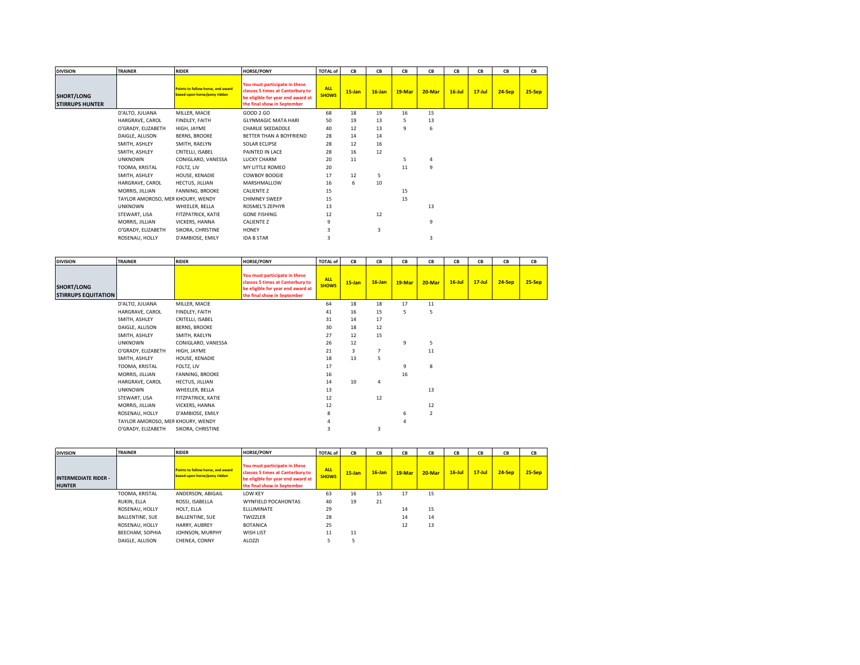| <b>DIVISION</b>                             | <b>TRAINER</b>                    | <b>RIDER</b>                                                      | <b>HORSE/PONY</b>                                                                                                                     | <b>TOTAL of</b>            | CB        | CВ        | CB       | CВ     | CВ        | CВ         | CB       | CB       |
|---------------------------------------------|-----------------------------------|-------------------------------------------------------------------|---------------------------------------------------------------------------------------------------------------------------------------|----------------------------|-----------|-----------|----------|--------|-----------|------------|----------|----------|
| <b>SHORT/LONG</b><br><b>STIRRUPS HUNTER</b> |                                   | Points to follow horse, and award<br>based upon horse/pony ridden | You must participate in these<br>classes 5 times at Canterbury to<br>be eligible for year end award at<br>the final show in September | <b>ALL</b><br><b>SHOWS</b> | $15$ -Jan | $16$ -Jan | $19-Mar$ | 20-Mar | $16$ -Jul | $17 -$ Jul | $24-Sep$ | $25-Sep$ |
|                                             | D'ALTO, JULIANA                   | MILLER, MACIE                                                     | GOOD 2 GO                                                                                                                             | 68                         | 18        | 19        | 16       | 15     |           |            |          |          |
|                                             | HARGRAVE, CAROL                   | FINDLEY, FAITH                                                    | <b>GLYNMAGIC MATA HARI</b>                                                                                                            | 50                         | 19        | 13        | 5        | 13     |           |            |          |          |
|                                             | O'GRADY, ELIZABETH                | HIGH, JAYME                                                       | <b>CHARLIE SKEDADDLE</b>                                                                                                              | 40                         | 12        | 13        | 9        | 6      |           |            |          |          |
|                                             | DAIGLE, ALLISON                   | <b>BERNS, BROOKE</b>                                              | BETTER THAN A BOYFRIEND                                                                                                               | 28                         | 14        | 14        |          |        |           |            |          |          |
|                                             | SMITH, ASHLEY                     | SMITH, RAELYN                                                     | SOLAR ECLIPSE                                                                                                                         | 28                         | 12        | 16        |          |        |           |            |          |          |
|                                             | SMITH, ASHLEY                     | CRITELLI, ISABEL                                                  | PAINTED IN LACE                                                                                                                       | 28                         | 16        | 12        |          |        |           |            |          |          |
|                                             | <b>UNKNOWN</b>                    | CONIGLARO, VANESSA                                                | <b>LUCKY CHARM</b>                                                                                                                    | 20                         | 11        |           |          |        |           |            |          |          |
|                                             | TOOMA, KRISTAL                    | FOLTZ, LIV                                                        | MY LITTLE ROMEO                                                                                                                       | 20                         |           |           | 11       | 9      |           |            |          |          |
|                                             | SMITH, ASHLEY                     | HOUSE, KENADIE                                                    | <b>COWBOY BOOGIE</b>                                                                                                                  | 17                         | 12        | 5         |          |        |           |            |          |          |
|                                             | HARGRAVE, CAROL                   | HECTUS, JILLIAN                                                   | MARSHMALLOW                                                                                                                           | 16                         | 6         | 10        |          |        |           |            |          |          |
|                                             | MORRIS, JILLIAN                   | FANNING, BROOKE                                                   | <b>CALIENTE Z</b>                                                                                                                     | 15                         |           |           | 15       |        |           |            |          |          |
|                                             | TAYLOR AMOROSO, MER KHOURY, WENDY |                                                                   | <b>CHIMNEY SWEEP</b>                                                                                                                  | 15                         |           |           | 15       |        |           |            |          |          |
|                                             | <b>UNKNOWN</b>                    | WHEELER, BELLA                                                    | ROSMEL'S ZEPHYR                                                                                                                       | 13                         |           |           |          | 13     |           |            |          |          |
|                                             | STEWART, LISA                     | FITZPATRICK, KATIE                                                | <b>GONE FISHING</b>                                                                                                                   | 12                         |           | 12        |          |        |           |            |          |          |
|                                             | MORRIS, JILLIAN                   | VICKERS, HANNA                                                    | <b>CALIENTE Z</b>                                                                                                                     | 9                          |           |           |          | 9      |           |            |          |          |
|                                             | O'GRADY, ELIZABETH                | SIKORA, CHRISTINE                                                 | HONEY                                                                                                                                 |                            |           | 3         |          |        |           |            |          |          |
|                                             | ROSENAU, HOLLY                    | D'AMBIOSE, EMILY                                                  | <b>IDA B STAR</b>                                                                                                                     | 3                          |           |           |          | 3      |           |            |          |          |

| <b>DIVISION</b>                                 | <b>TRAINER</b>                    | <b>RIDER</b>         | <b>HORSE/PONY</b>                                                                                                                     | <b>TOTAL of</b>      | CB        | CB        | CВ     | CВ             | CB        | CB         | CB     | CB       |
|-------------------------------------------------|-----------------------------------|----------------------|---------------------------------------------------------------------------------------------------------------------------------------|----------------------|-----------|-----------|--------|----------------|-----------|------------|--------|----------|
| <b>SHORT/LONG</b><br><b>STIRRUPS EQUITATION</b> |                                   |                      | You must participate in these<br>classes 5 times at Canterbury to<br>be eligible for year end award at<br>the final show in September | ALL.<br><b>SHOWS</b> | $15$ -Jan | $16$ -Jan | 19-Mar | 20-Mar         | $16$ -Jul | $17 -$ Jul | 24-Sep | $25-Sep$ |
|                                                 | D'ALTO, JULIANA                   | MILLER, MACIE        |                                                                                                                                       | 64                   | 18        | 18        | 17     | 11             |           |            |        |          |
|                                                 | HARGRAVE, CAROL                   | FINDLEY, FAITH       |                                                                                                                                       | 41                   | 16        | 15        | 5      | 5              |           |            |        |          |
|                                                 | SMITH, ASHLEY                     | CRITELLI, ISABEL     |                                                                                                                                       | 31                   | 14        | 17        |        |                |           |            |        |          |
|                                                 | DAIGLE, ALLISON                   | <b>BERNS, BROOKE</b> |                                                                                                                                       | 30                   | 18        | 12        |        |                |           |            |        |          |
|                                                 | SMITH, ASHLEY                     | SMITH, RAELYN        |                                                                                                                                       | 27                   | 12        | 15        |        |                |           |            |        |          |
|                                                 | <b>UNKNOWN</b>                    | CONIGLARO, VANESSA   |                                                                                                                                       | 26                   | 12        |           | 9      | 5              |           |            |        |          |
|                                                 | O'GRADY, ELIZABETH                | HIGH, JAYME          |                                                                                                                                       | 21                   | 3         |           |        | 11             |           |            |        |          |
|                                                 | SMITH, ASHLEY                     | HOUSE, KENADIE       |                                                                                                                                       | 18                   | 13        | 5         |        |                |           |            |        |          |
|                                                 | TOOMA, KRISTAL                    | FOLTZ, LIV           |                                                                                                                                       | 17                   |           |           | 9      | 8              |           |            |        |          |
|                                                 | MORRIS, JILLIAN                   | FANNING, BROOKE      |                                                                                                                                       | 16                   |           |           | 16     |                |           |            |        |          |
|                                                 | HARGRAVE, CAROL                   | HECTUS, JILLIAN      |                                                                                                                                       | 14                   | 10        | 4         |        |                |           |            |        |          |
|                                                 | <b>UNKNOWN</b>                    | WHEELER, BELLA       |                                                                                                                                       | 13                   |           |           |        | 13             |           |            |        |          |
|                                                 | STEWART, LISA                     | FITZPATRICK, KATIE   |                                                                                                                                       | 12                   |           | 12        |        |                |           |            |        |          |
|                                                 | MORRIS, JILLIAN                   | VICKERS, HANNA       |                                                                                                                                       | 12                   |           |           |        | 12             |           |            |        |          |
|                                                 | ROSENAU, HOLLY                    | D'AMBIOSE, EMILY     |                                                                                                                                       | 8                    |           |           | 6      | $\overline{2}$ |           |            |        |          |
|                                                 | TAYLOR AMOROSO, MER KHOURY, WENDY |                      |                                                                                                                                       |                      |           |           |        |                |           |            |        |          |
|                                                 | O'GRADY, ELIZABETH                | SIKORA, CHRISTINE    |                                                                                                                                       |                      |           | 3         |        |                |           |            |        |          |

| <b>DIVISION</b>                              | <b>TRAINER</b>  | <b>RIDER</b>                                                      | <b>HORSE/PONY</b>                                                                                                                     | <b>TOTAL of</b>            | CВ        | CВ        | CВ       | CB        | CВ        | CB         | CB       | CB       |
|----------------------------------------------|-----------------|-------------------------------------------------------------------|---------------------------------------------------------------------------------------------------------------------------------------|----------------------------|-----------|-----------|----------|-----------|-----------|------------|----------|----------|
| <b>INTERMEDIATE RIDER -</b><br><b>HUNTER</b> |                 | Points to follow horse, and award<br>based upon horse/pony ridden | You must participate in these<br>classes 5 times at Canterbury to<br>be eligible for year end award at<br>the final show in September | <b>ALL</b><br><b>SHOWS</b> | $15$ -Jan | $16$ -Jan | $19-Mar$ | $20$ -Mar | $16$ -Jul | $17 -$ Jul | $24-Sep$ | $25-Sep$ |
|                                              | TOOMA, KRISTAL  | ANDERSON, ABIGAIL                                                 | <b>LOW KEY</b>                                                                                                                        | 63                         | 16        | 15        | 17       | 15        |           |            |          |          |
|                                              | RUKIN, ELLA     | ROSSI, ISABELLA                                                   | <b>WYNFIELD POCAHONTAS</b>                                                                                                            | 40                         | 19        | 21        |          |           |           |            |          |          |
|                                              | ROSENAU, HOLLY  | HOLT. ELLA                                                        | <b>ELLUMINATE</b>                                                                                                                     | 29                         |           |           | 14       | 15        |           |            |          |          |
|                                              | BALLENTINE, SUE | <b>BALLENTINE, SUE</b>                                            | TWIZZLER                                                                                                                              | 28                         |           |           | 14       | 14        |           |            |          |          |
|                                              | ROSENAU, HOLLY  | HARRY, AUBREY                                                     | <b>BOTANICA</b>                                                                                                                       | 25                         |           |           | 12       | 13        |           |            |          |          |
|                                              | BEECHAM, SOPHIA | JOHNSON, MURPHY                                                   | WISH LIST                                                                                                                             | 11                         | 11        |           |          |           |           |            |          |          |
|                                              | DAIGLE, ALLISON | CHENEA, CONNY                                                     | <b>ALOZZI</b>                                                                                                                         |                            |           |           |          |           |           |            |          |          |